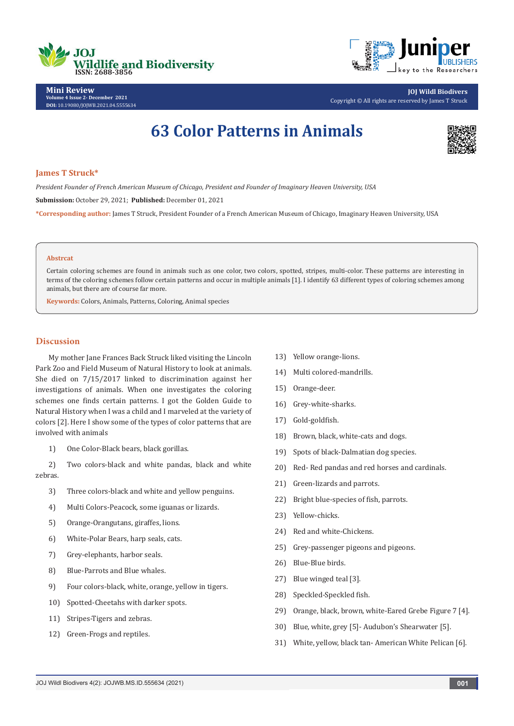



**Mini Review Volume 4 Issue 2- December 2021 DOI:** [10.19080/JOJWB.2021.04.55556](http://dx.doi.org/10.19080/jojwb.2021.04.555634)34

**JOJ Wildl Biodivers** Copyright © All rights are reserved by James T Struck

# **63 Color Patterns in Animals**



### **James T Struck\***

*President Founder of French American Museum of Chicago, President and Founder of Imaginary Heaven University, USA* **Submission:** October 29, 2021; **Published:** December 01, 2021 **\*Corresponding author:** James T Struck, President Founder of a French American Museum of Chicago, Imaginary Heaven University, USA

#### **Abstrcat**

Certain coloring schemes are found in animals such as one color, two colors, spotted, stripes, multi-color. These patterns are interesting in terms of the coloring schemes follow certain patterns and occur in multiple animals [1]. I identify 63 different types of coloring schemes among animals, but there are of course far more.

**Keywords:** Colors, Animals, Patterns, Coloring, Animal species

# **Discussion**

My mother Jane Frances Back Struck liked visiting the Lincoln Park Zoo and Field Museum of Natural History to look at animals. She died on 7/15/2017 linked to discrimination against her investigations of animals. When one investigates the coloring schemes one finds certain patterns. I got the Golden Guide to Natural History when I was a child and I marveled at the variety of colors [2]. Here I show some of the types of color patterns that are involved with animals

1) One Color-Black bears, black gorillas.

2) Two colors-black and white pandas, black and white zebras.

- 3) Three colors-black and white and yellow penguins.
- 4) Multi Colors-Peacock, some iguanas or lizards.
- 5) Orange-Orangutans, giraffes, lions.
- 6) White-Polar Bears, harp seals, cats.
- 7) Grey-elephants, harbor seals.
- 8) Blue-Parrots and Blue whales.
- 9) Four colors-black, white, orange, yellow in tigers.
- 10) Spotted-Cheetahs with darker spots.
- 11) Stripes-Tigers and zebras.
- 12) Green-Frogs and reptiles.
- 13) Yellow orange-lions.
- 14) Multi colored-mandrills.
- 15) Orange-deer.
- 16) Grey-white-sharks.
- 17) Gold-goldfish.
- 18) Brown, black, white-cats and dogs.
- 19) Spots of black-Dalmatian dog species.
- 20) Red- Red pandas and red horses and cardinals.
- 21) Green-lizards and parrots.
- 22) Bright blue-species of fish, parrots.
- 23) Yellow-chicks.
- 24) Red and white-Chickens.
- 25) Grey-passenger pigeons and pigeons.
- 26) Blue-Blue birds.
- 27) Blue winged teal [3].
- 28) Speckled-Speckled fish.
- 29) Orange, black, brown, white-Eared Grebe Figure 7 [4].
- 30) Blue, white, grey [5]- Audubon's Shearwater [5].
- 31) White, yellow, black tan- American White Pelican [6].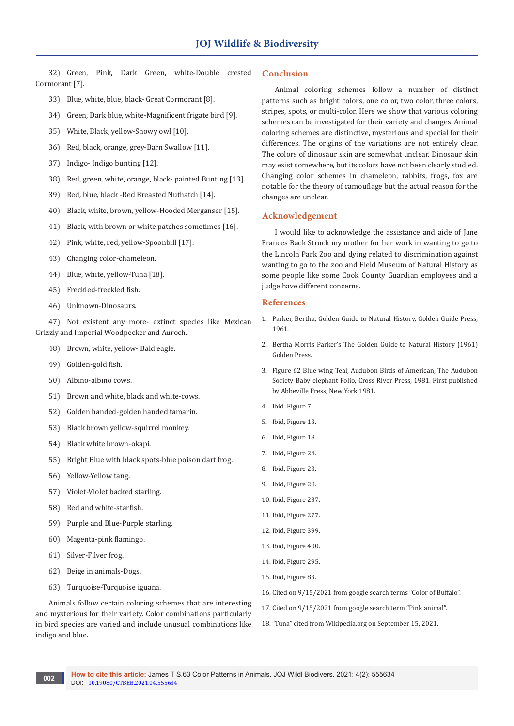32) Green, Pink, Dark Green, white-Double crested Cormorant [7].

- 33) Blue, white, blue, black- Great Cormorant [8].
- 34) Green, Dark blue, white-Magnificent frigate bird [9].
- 35) White, Black, yellow-Snowy owl [10].
- 36) Red, black, orange, grey-Barn Swallow [11].
- 37) Indigo- Indigo bunting [12].
- 38) Red, green, white, orange, black- painted Bunting [13].
- 39) Red, blue, black -Red Breasted Nuthatch [14].
- 40) Black, white, brown, yellow-Hooded Merganser [15].
- 41) Black, with brown or white patches sometimes [16].
- 42) Pink, white, red, yellow-Spoonbill [17].
- 43) Changing color-chameleon.
- 44) Blue, white, yellow-Tuna [18].
- 45) Freckled-freckled fish.
- 46) Unknown-Dinosaurs.

47) Not existent any more- extinct species like Mexican Grizzly and Imperial Woodpecker and Auroch.

- 48) Brown, white, yellow- Bald eagle.
- 49) Golden-gold fish.
- 50) Albino-albino cows.
- 51) Brown and white, black and white-cows.
- 52) Golden handed-golden handed tamarin.
- 53) Black brown yellow-squirrel monkey.
- 54) Black white brown-okapi.
- 55) Bright Blue with black spots-blue poison dart frog.
- 56) Yellow-Yellow tang.
- 57) Violet-Violet backed starling.
- 58) Red and white-starfish.
- 59) Purple and Blue-Purple starling.
- 60) Magenta-pink flamingo.
- 61) Silver-Filver frog.
- 62) Beige in animals-Dogs.
- 63) Turquoise-Turquoise iguana.

Animals follow certain coloring schemes that are interesting and mysterious for their variety. Color combinations particularly in bird species are varied and include unusual combinations like indigo and blue.

## **Conclusion**

Animal coloring schemes follow a number of distinct patterns such as bright colors, one color, two color, three colors, stripes, spots, or multi-color. Here we show that various coloring schemes can be investigated for their variety and changes. Animal coloring schemes are distinctive, mysterious and special for their differences. The origins of the variations are not entirely clear. The colors of dinosaur skin are somewhat unclear. Dinosaur skin may exist somewhere, but its colors have not been clearly studied. Changing color schemes in chameleon, rabbits, frogs, fox are notable for the theory of camouflage but the actual reason for the changes are unclear.

## **Acknowledgement**

I would like to acknowledge the assistance and aide of Jane Frances Back Struck my mother for her work in wanting to go to the Lincoln Park Zoo and dying related to discrimination against wanting to go to the zoo and Field Museum of Natural History as some people like some Cook County Guardian employees and a judge have different concerns.

#### **References**

- 1. Parker, Bertha, Golden Guide to Natural History, Golden Guide Press, 1961.
- 2. Bertha Morris Parker's The Golden Guide to Natural History (1961) Golden Press.
- 3. Figure 62 Blue wing Teal, Audubon Birds of American, The Audubon Society Baby elephant Folio, Cross River Press, 1981. First published by Abbeville Press, New York 1981.
- 4. Ibid. Figure 7.
- 5. Ibid, Figure 13.
- 6. Ibid, Figure 18.
- 7. Ibid, Figure 24.
- 8. Ibid, Figure 23.
- 9. Ibid, Figure 28.
- 10. Ibid, Figure 237.
- 11. Ibid, Figure 277.
- 12. Ibid, Figure 399.
- 13. Ibid, Figure 400.
- 14. Ibid, Figure 295.
- 15. Ibid, Figure 83.
- 16. Cited on 9/15/2021 from google search terms "Color of Buffalo".
- 17. Cited on 9/15/2021 from google search term "Pink animal".
- 18."Tuna" cited from Wikipedia.org on September 15, 2021.